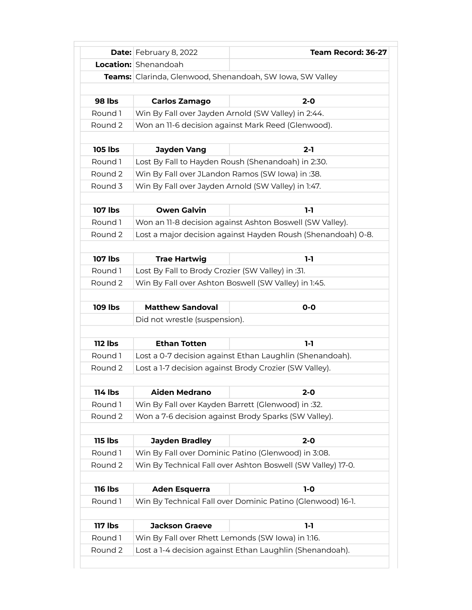|                | <b>Date:</b> February 8, 2022                          | Team Record: 36-27                                           |  |
|----------------|--------------------------------------------------------|--------------------------------------------------------------|--|
|                | <b>Location:</b> Shenandoah                            |                                                              |  |
|                |                                                        | Teams: Clarinda, Glenwood, Shenandoah, SW Iowa, SW Valley    |  |
|                |                                                        |                                                              |  |
| <b>98 lbs</b>  | <b>Carlos Zamago</b>                                   | $2 - 0$                                                      |  |
| Round 1        |                                                        | Win By Fall over Jayden Arnold (SW Valley) in 2:44.          |  |
| Round 2        | Won an 11-6 decision against Mark Reed (Glenwood).     |                                                              |  |
|                |                                                        |                                                              |  |
| <b>105 lbs</b> | <b>Jayden Vang</b>                                     | $2 - 1$                                                      |  |
| Round 1        |                                                        | Lost By Fall to Hayden Roush (Shenandoah) in 2:30.           |  |
| Round 2        | Win By Fall over JLandon Ramos (SW Iowa) in :38.       |                                                              |  |
| Round 3        | Win By Fall over Jayden Arnold (SW Valley) in 1:47.    |                                                              |  |
|                |                                                        |                                                              |  |
| <b>107 lbs</b> | <b>Owen Galvin</b>                                     | $1-1$                                                        |  |
| Round 1        |                                                        | Won an 11-8 decision against Ashton Boswell (SW Valley).     |  |
| Round 2        |                                                        | Lost a major decision against Hayden Roush (Shenandoah) 0-8. |  |
|                |                                                        |                                                              |  |
| <b>107 lbs</b> | <b>Trae Hartwig</b>                                    | 1-1                                                          |  |
| Round 1        | Lost By Fall to Brody Crozier (SW Valley) in :31.      |                                                              |  |
| Round 2        |                                                        | Win By Fall over Ashton Boswell (SW Valley) in 1:45.         |  |
|                |                                                        |                                                              |  |
| <b>109 lbs</b> | <b>Matthew Sandoval</b>                                | $O-O$                                                        |  |
|                | Did not wrestle (suspension).                          |                                                              |  |
|                |                                                        |                                                              |  |
| $112$ lbs      | <b>Ethan Totten</b>                                    | $1-1$                                                        |  |
| Round 1        |                                                        | Lost a 0-7 decision against Ethan Laughlin (Shenandoah).     |  |
| Round 2        | Lost a 1-7 decision against Brody Crozier (SW Valley). |                                                              |  |
|                |                                                        |                                                              |  |
|                |                                                        |                                                              |  |
| 114 lbs        | <b>Aiden Medrano</b>                                   | 2-0                                                          |  |
| Round 1        | Win By Fall over Kayden Barrett (Glenwood) in :32.     |                                                              |  |
| Round 2        |                                                        | Won a 7-6 decision against Brody Sparks (SW Valley).         |  |
|                |                                                        |                                                              |  |
| <b>115 lbs</b> | <b>Jayden Bradley</b>                                  | $2 - 0$                                                      |  |
| Round 1        |                                                        | Win By Fall over Dominic Patino (Glenwood) in 3:08.          |  |
| Round 2        |                                                        | Win By Technical Fall over Ashton Boswell (SW Valley) 17-0.  |  |
|                |                                                        |                                                              |  |
| <b>116 lbs</b> | <b>Aden Esquerra</b>                                   | $1-0$                                                        |  |
| Round 1        |                                                        | Win By Technical Fall over Dominic Patino (Glenwood) 16-1.   |  |
|                |                                                        |                                                              |  |
| <b>117 lbs</b> | <b>Jackson Graeve</b>                                  | $1-1$                                                        |  |
| Round 1        | Win By Fall over Rhett Lemonds (SW Iowa) in 1:16.      |                                                              |  |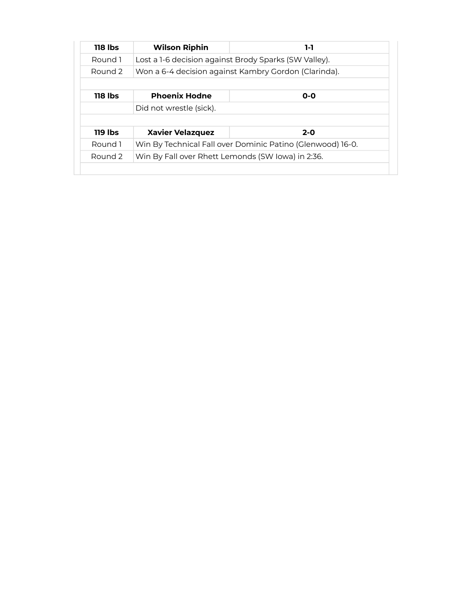| <b>118 lbs</b> | <b>Wilson Riphin</b>                                  | $1-1$                                                      |
|----------------|-------------------------------------------------------|------------------------------------------------------------|
| Round 1        | Lost a 1-6 decision against Brody Sparks (SW Valley). |                                                            |
| Round 2        | Won a 6-4 decision against Kambry Gordon (Clarinda).  |                                                            |
|                |                                                       |                                                            |
| 118 lbs        | <b>Phoenix Hodne</b>                                  | $O-O$                                                      |
|                | Did not wrestle (sick).                               |                                                            |
|                |                                                       |                                                            |
|                |                                                       |                                                            |
| 119 lbs        | <b>Xavier Velazquez</b>                               | $2 - 0$                                                    |
| Round 1        |                                                       | Win By Technical Fall over Dominic Patino (Glenwood) 16-0. |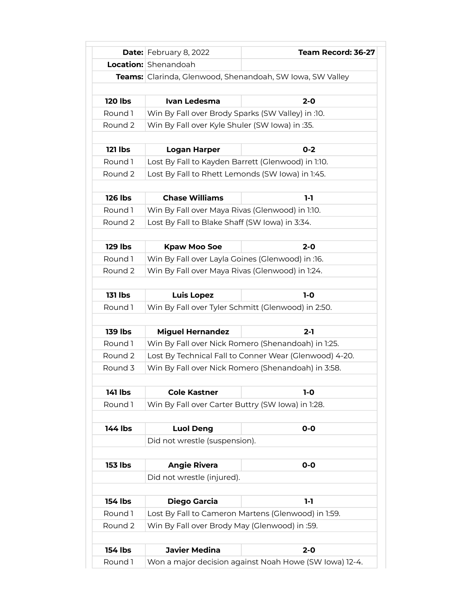|                    | <b>Date:</b> February 8, 2022                      | Team Record: 36-27                                        |
|--------------------|----------------------------------------------------|-----------------------------------------------------------|
|                    | <b>Location:</b> Shenandoah                        |                                                           |
|                    |                                                    | Teams: Clarinda, Glenwood, Shenandoah, SW Iowa, SW Valley |
|                    |                                                    |                                                           |
| <b>120 lbs</b>     | Ivan Ledesma                                       | $2 - 0$                                                   |
| Round 1            | Win By Fall over Brody Sparks (SW Valley) in :10.  |                                                           |
| Round 2            | Win By Fall over Kyle Shuler (SW Iowa) in :35.     |                                                           |
|                    |                                                    |                                                           |
| 121 lbs            | <b>Logan Harper</b>                                | $0 - 2$                                                   |
| Round 1            | Lost By Fall to Kayden Barrett (Glenwood) in 1:10. |                                                           |
| Round <sub>2</sub> | Lost By Fall to Rhett Lemonds (SW Iowa) in 1:45.   |                                                           |
|                    |                                                    |                                                           |
| <b>126 lbs</b>     | <b>Chase Williams</b>                              | 1-1                                                       |
| Round 1            | Win By Fall over Maya Rivas (Glenwood) in 1:10.    |                                                           |
| Round 2            | Lost By Fall to Blake Shaff (SW Iowa) in 3:34.     |                                                           |
|                    |                                                    |                                                           |
| <b>129 lbs</b>     | <b>Kpaw Moo Soe</b>                                | $2 - 0$                                                   |
| Round 1            | Win By Fall over Layla Goines (Glenwood) in :16.   |                                                           |
| Round 2            | Win By Fall over Maya Rivas (Glenwood) in 1:24.    |                                                           |
|                    |                                                    |                                                           |
| <b>131 lbs</b>     | <b>Luis Lopez</b>                                  | $1-0$                                                     |
| Round 1            | Win By Fall over Tyler Schmitt (Glenwood) in 2:50. |                                                           |
|                    |                                                    |                                                           |
| <b>139 lbs</b>     | <b>Miguel Hernandez</b>                            | 2-1                                                       |
| Round 1            |                                                    | Win By Fall over Nick Romero (Shenandoah) in 1:25.        |
| Round 2            |                                                    | Lost By Technical Fall to Conner Wear (Glenwood) 4-20.    |
| Round 3            |                                                    | Win By Fall over Nick Romero (Shenandoah) in 3:58.        |
|                    |                                                    |                                                           |
| 141 lbs            | <b>Cole Kastner</b>                                | $1-0$                                                     |
| Round 1            | Win By Fall over Carter Buttry (SW Iowa) in 1:28.  |                                                           |
|                    |                                                    |                                                           |
| 144 lbs            | <b>Luol Deng</b>                                   | $0-0$                                                     |
|                    | Did not wrestle (suspension).                      |                                                           |
|                    |                                                    |                                                           |
| <b>153 lbs</b>     | <b>Angie Rivera</b>                                | $0-0$                                                     |
|                    | Did not wrestle (injured).                         |                                                           |
|                    |                                                    |                                                           |
| 154 lbs            | <b>Diego Garcia</b>                                | $1-1$                                                     |
| Round 1            |                                                    | Lost By Fall to Cameron Martens (Glenwood) in 1:59.       |
| Round 2            | Win By Fall over Brody May (Glenwood) in :59.      |                                                           |
|                    |                                                    |                                                           |
| <b>154 lbs</b>     | <b>Javier Medina</b>                               | $2 - 0$                                                   |
| Round 1            |                                                    | Won a major decision against Noah Howe (SW Iowa) 12-4.    |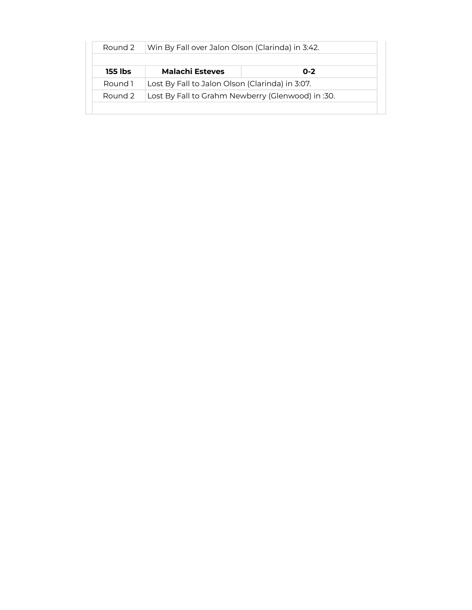| Round 2 | Win By Fall over Jalon Olson (Clarinda) in 3:42.  |         |
|---------|---------------------------------------------------|---------|
| 155 lbs | <b>Malachi Esteves</b>                            | $0 - 2$ |
| Round 1 | Lost By Fall to Jalon Olson (Clarinda) in 3:07.   |         |
| Round 2 | Lost By Fall to Grahm Newberry (Glenwood) in :30. |         |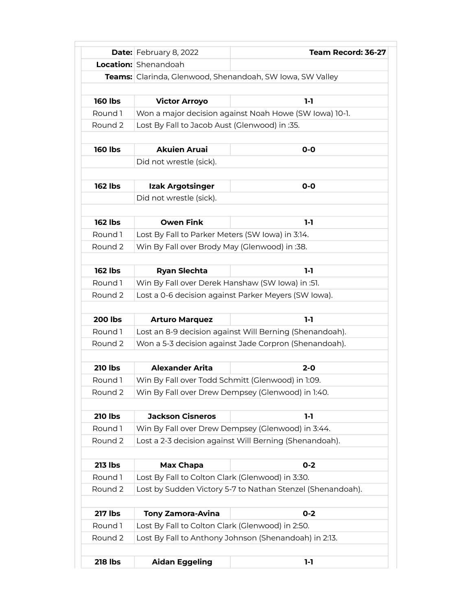|                | <b>Date:</b> February 8, 2022                     | Team Record: 36-27                                         |
|----------------|---------------------------------------------------|------------------------------------------------------------|
|                | <b>Location:</b> Shenandoah                       |                                                            |
|                |                                                   | Teams: Clarinda, Glenwood, Shenandoah, SW Iowa, SW Valley  |
|                |                                                   |                                                            |
| <b>160 lbs</b> | <b>Victor Arroyo</b>                              | $1-1$                                                      |
| Round 1        |                                                   | Won a major decision against Noah Howe (SW Iowa) 10-1.     |
| Round 2        | Lost By Fall to Jacob Aust (Glenwood) in :35.     |                                                            |
|                |                                                   |                                                            |
| <b>160 lbs</b> | <b>Akuien Aruai</b>                               | $O-O$                                                      |
|                | Did not wrestle (sick).                           |                                                            |
|                |                                                   |                                                            |
| <b>162 lbs</b> | Izak Argotsinger                                  | $O-O$                                                      |
|                | Did not wrestle (sick).                           |                                                            |
|                |                                                   |                                                            |
| <b>162 lbs</b> | <b>Owen Fink</b>                                  | $1-1$                                                      |
| Round 1        | Lost By Fall to Parker Meters (SW Iowa) in 3:14.  |                                                            |
| Round 2        | Win By Fall over Brody May (Glenwood) in :38.     |                                                            |
|                |                                                   |                                                            |
| <b>162 lbs</b> | <b>Ryan Slechta</b>                               | 1-1                                                        |
| Round 1        | Win By Fall over Derek Hanshaw (SW Iowa) in :51.  |                                                            |
| Round 2        |                                                   | Lost a 0-6 decision against Parker Meyers (SW Iowa).       |
|                |                                                   |                                                            |
| <b>200 lbs</b> | <b>Arturo Marquez</b>                             | $1-1$                                                      |
| Round 1        |                                                   | Lost an 8-9 decision against Will Berning (Shenandoah).    |
| Round 2        |                                                   | Won a 5-3 decision against Jade Corpron (Shenandoah).      |
|                |                                                   |                                                            |
| <b>210 lbs</b> | <b>Alexander Arita</b>                            | $2 - 0$                                                    |
| Round 1        | Win By Fall over Todd Schmitt (Glenwood) in 1:09. |                                                            |
| Round 2        |                                                   | Win By Fall over Drew Dempsey (Glenwood) in 1:40.          |
|                |                                                   |                                                            |
| <b>210 lbs</b> | <b>Jackson Cisneros</b>                           | $1-1$                                                      |
| Round 1        |                                                   | Win By Fall over Drew Dempsey (Glenwood) in 3:44.          |
| Round 2        |                                                   | Lost a 2-3 decision against Will Berning (Shenandoah).     |
|                |                                                   |                                                            |
| <b>213 lbs</b> | <b>Max Chapa</b>                                  | $0 - 2$                                                    |
| Round 1        | Lost By Fall to Colton Clark (Glenwood) in 3:30.  |                                                            |
| Round 2        |                                                   | Lost by Sudden Victory 5-7 to Nathan Stenzel (Shenandoah). |
|                |                                                   |                                                            |
| <b>217 lbs</b> | <b>Tony Zamora-Avina</b>                          | $0 - 2$                                                    |
| Round 1        | Lost By Fall to Colton Clark (Glenwood) in 2:50.  |                                                            |
| Round 2        |                                                   | Lost By Fall to Anthony Johnson (Shenandoah) in 2:13.      |
|                |                                                   |                                                            |
| <b>218 lbs</b> | <b>Aidan Eggeling</b>                             | $1-1$                                                      |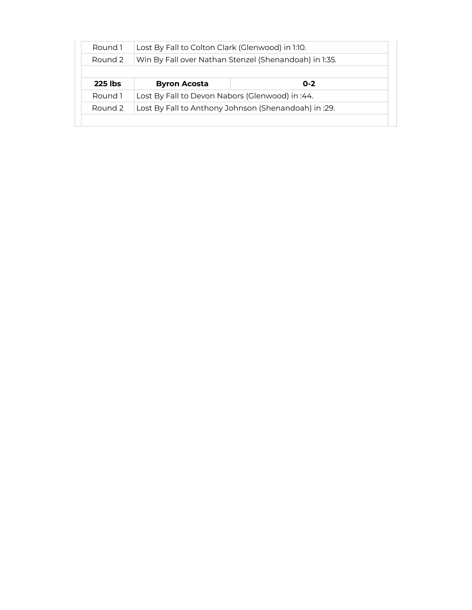| Round 1        | Lost By Fall to Colton Clark (Glenwood) in 1:10.      |         |  |
|----------------|-------------------------------------------------------|---------|--|
| Round 2        | Win By Fall over Nathan Stenzel (Shenandoah) in 1:35. |         |  |
|                |                                                       |         |  |
| <b>225 lbs</b> | <b>Byron Acosta</b>                                   | $0 - 2$ |  |
| Round 1        | Lost By Fall to Devon Nabors (Glenwood) in :44.       |         |  |
|                | Lost By Fall to Anthony Johnson (Shenandoah) in :29.  |         |  |